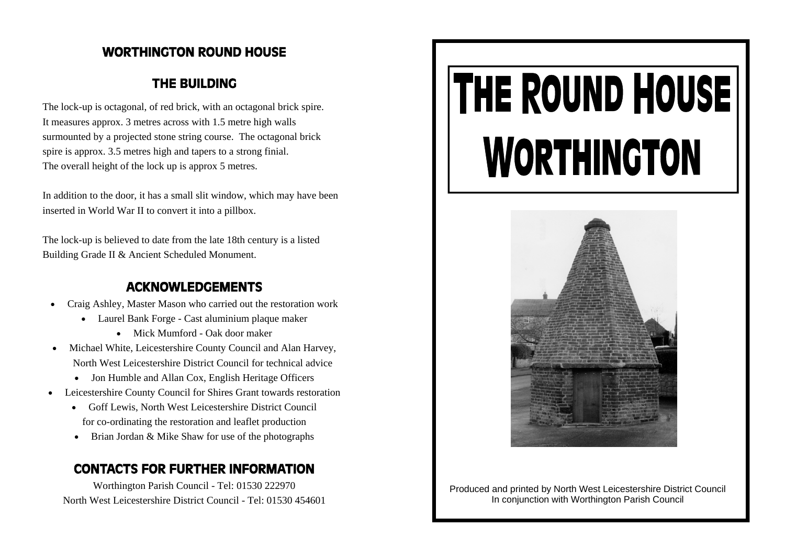### WORTHINGTON ROUND HOUSE

### THE BUILDING

The lock-up is octagonal, of red brick, with an octagonal brick spire. It measures approx. 3 metres across with 1.5 metre high walls surmounted by a projected stone string course. The octagonal brick spire is approx. 3.5 metres high and tapers to a strong finial. The overall height of the lock up is approx 5 metres.

In addition to the door, it has a small slit window, which may have been inserted in World War II to convert it into a pillbox.

The lock-up is believed to date from the late 18th century is a listed Building Grade II & Ancient Scheduled Monument.

### ACKNOWLEDGEMENTS

- Craig Ashley, Master Mason who carried out the restoration work
	- Laurel Bank Forge Cast aluminium plaque maker
		- Mick Mumford Oak door maker
- Michael White, Leicestershire County Council and Alan Harvey, North West Leicestershire District Council for technical advice
	- Jon Humble and Allan Cox, English Heritage Officers
- Leicestershire County Council for Shires Grant towards restoration
	- Goff Lewis, North West Leicestershire District Council for co-ordinating the restoration and leaflet production
	- Brian Jordan & Mike Shaw for use of the photographs

### CONTACTS FOR FURTHER INFORMATION

Worthington Parish Council - Tel: 01530 222970 North West Leicestershire District Council - Tel: 01530 454601

# THE ROUND HOUSE **WORTHINGTON**



Produced and printed by North West Leicestershire District Council In conjunction with Worthington Parish Council